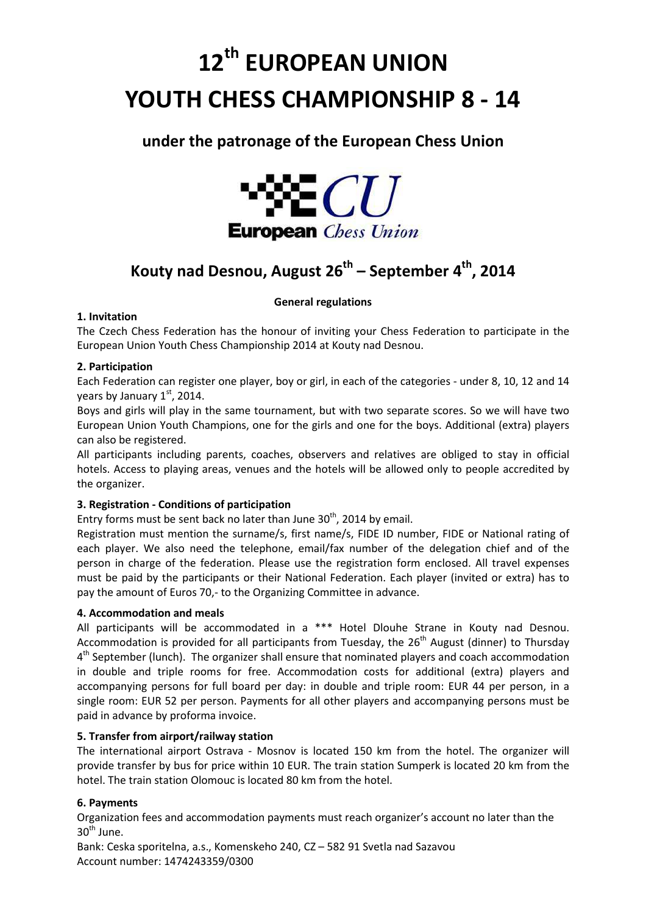# **12th EUROPEAN UNION YOUTH CHESS CHAMPIONSHIP 8 - 14**

# **under the patronage of the European Chess Union**



# **Kouty nad Desnou, August 26th – September 4th, 2014**

# **General regulations**

# **1. Invitation**

The Czech Chess Federation has the honour of inviting your Chess Federation to participate in the European Union Youth Chess Championship 2014 at Kouty nad Desnou.

# **2. Participation**

Each Federation can register one player, boy or girl, in each of the categories - under 8, 10, 12 and 14 years by January  $1<sup>st</sup>$ , 2014.

Boys and girls will play in the same tournament, but with two separate scores. So we will have two European Union Youth Champions, one for the girls and one for the boys. Additional (extra) players can also be registered.

All participants including parents, coaches, observers and relatives are obliged to stay in official hotels. Access to playing areas, venues and the hotels will be allowed only to people accredited by the organizer.

# **3. Registration - Conditions of participation**

Entry forms must be sent back no later than June  $30<sup>th</sup>$ , 2014 by email.

Registration must mention the surname/s, first name/s, FIDE ID number, FIDE or National rating of each player. We also need the telephone, email/fax number of the delegation chief and of the person in charge of the federation. Please use the registration form enclosed. All travel expenses must be paid by the participants or their National Federation. Each player (invited or extra) has to pay the amount of Euros 70,- to the Organizing Committee in advance.

# **4. Accommodation and meals**

All participants will be accommodated in a \*\*\* Hotel Dlouhe Strane in Kouty nad Desnou. Accommodation is provided for all participants from Tuesday, the 26<sup>th</sup> August (dinner) to Thursdav 4<sup>th</sup> September (lunch). The organizer shall ensure that nominated players and coach accommodation in double and triple rooms for free. Accommodation costs for additional (extra) players and accompanying persons for full board per day: in double and triple room: EUR 44 per person, in a single room: EUR 52 per person. Payments for all other players and accompanying persons must be paid in advance by proforma invoice.

# **5. Transfer from airport/railway station**

The international airport Ostrava - Mosnov is located 150 km from the hotel. The organizer will provide transfer by bus for price within 10 EUR. The train station Sumperk is located 20 km from the hotel. The train station Olomouc is located 80 km from the hotel.

# **6. Payments**

Organization fees and accommodation payments must reach organizer's account no later than the  $30<sup>th</sup>$  June.

Bank: Ceska sporitelna, a.s., Komenskeho 240, CZ – 582 91 Svetla nad Sazavou Account number: 1474243359/0300